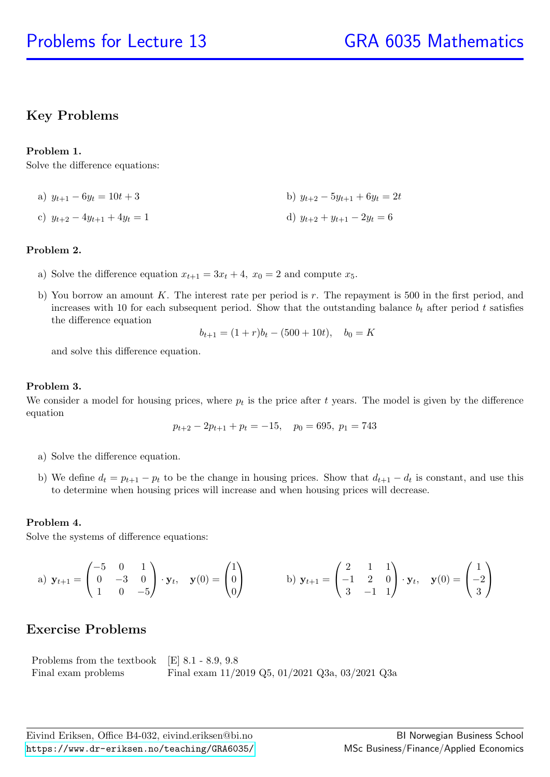# Key Problems

## Problem 1.

Solve the difference equations:

- a)  $y_{t+1} 6y_t = 10t + 3$  b)  $y_{t+2} 5y_{t+1} + 6y_t = 2t$
- c)  $y_{t+2} 4y_{t+1} + 4y_t = 1$  d)  $y_{t+2} + y_{t+1} 2y_t = 6$

## Problem 2.

- a) Solve the difference equation  $x_{t+1} = 3x_t + 4$ ,  $x_0 = 2$  and compute  $x_5$ .
- b) You borrow an amount K. The interest rate per period is  $r$ . The repayment is 500 in the first period, and increases with 10 for each subsequent period. Show that the outstanding balance  $b_t$  after period t satisfies the difference equation

$$
b_{t+1} = (1+r)b_t - (500+10t), \quad b_0 = K
$$

and solve this difference equation.

### Problem 3.

We consider a model for housing prices, where  $p_t$  is the price after t years. The model is given by the difference equation

$$
p_{t+2} - 2p_{t+1} + p_t = -15, \quad p_0 = 695, \ p_1 = 743
$$

- a) Solve the difference equation.
- b) We define  $d_t = p_{t+1} p_t$  to be the change in housing prices. Show that  $d_{t+1} d_t$  is constant, and use this to determine when housing prices will increase and when housing prices will decrease.

## Problem 4.

Solve the systems of difference equations:

a) 
$$
\mathbf{y}_{t+1} = \begin{pmatrix} -5 & 0 & 1 \\ 0 & -3 & 0 \\ 1 & 0 & -5 \end{pmatrix} \cdot \mathbf{y}_t
$$
,  $\mathbf{y}(0) = \begin{pmatrix} 1 \\ 0 \\ 0 \end{pmatrix}$  b)  $\mathbf{y}_{t+1} = \begin{pmatrix} 2 & 1 & 1 \\ -1 & 2 & 0 \\ 3 & -1 & 1 \end{pmatrix} \cdot \mathbf{y}_t$ ,  $\mathbf{y}(0) = \begin{pmatrix} 1 \\ -2 \\ 3 \end{pmatrix}$ 

# Exercise Problems

| Problems from the textbook $\left  \text{E} \right $ 8.1 - 8.9, 9.8 |                                                       |
|---------------------------------------------------------------------|-------------------------------------------------------|
| Final exam problems                                                 | Final exam $11/2019$ Q5, $01/2021$ Q3a, $03/2021$ Q3a |